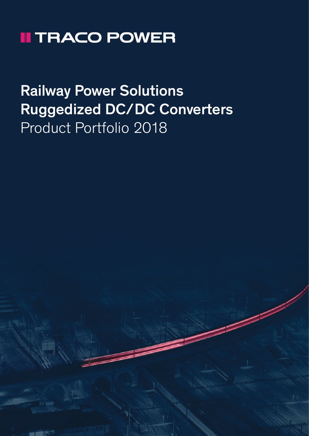# **II TRACO POWER**

# Railway Power Solutions Ruggedized DC/DC Converters Product Portfolio 2018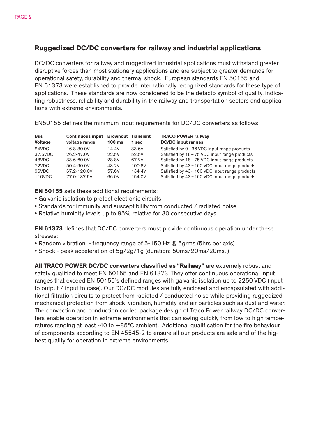### Ruggedized DC/DC converters for railway and industrial applications

DC/DC converters for railway and ruggedized industrial applications must withstand greater disruptive forces than most stationary applications and are subject to greater demands for operational safety, durability and thermal shock. European standards EN 50155 and EN 61373 were established to provide internationally recognized standards for these type of applications. These standards are now considered to be the defacto symbol of quality, indicating robustness, reliability and durability in the railway and transportation sectors and applications with extreme environments.

EN50155 defines the minimum input requirements for DC/DC converters as follows:

| <b>Bus</b>     | <b>Continuous input</b> | <b>Brownout Transient</b> |        | <b>TRACO POWER railway</b>                        |  |
|----------------|-------------------------|---------------------------|--------|---------------------------------------------------|--|
| <b>Voltage</b> | voltage range           | $100$ ms                  | 1 sec  | <b>DC/DC</b> input ranges                         |  |
| 24VDC          | 16.8-30.0V              | 14.4V                     | 33.6V  | Satisfied by $9 \sim 36$ VDC input range products |  |
| 37.5VDC        | 26.2-47.0V              | 22.5V                     | 52.5V  | Satisfied by 18~75 VDC input range products       |  |
| 48VDC          | 33.6-60.0V              | 28.8V                     | 67.2V  | Satisfied by 18~75 VDC input range products       |  |
| 72VDC          | 50.4-90.0V              | 43.2V                     | 100.8V | Satisfied by 43~160 VDC input range products      |  |
| 96VDC          | 67.2-120.0V             | 57.6V                     | 134.4V | Satisfied by 43~160 VDC input range products      |  |
| 110VDC         | 77.0-137.5V             | 66.0V                     | 154.0V | Satisfied by 43~160 VDC input range products      |  |

EN 50155 sets these additional requirements:

- Galvanic isolation to protect electronic circuits
- Standards for immunity and susceptibility from conducted / radiated noise
- Relative humidity levels up to 95% relative for 30 consecutive days

EN 61373 defines that DC/DC converters must provide continuous operation under these stresses:

- Random vibration frequency range of 5-150 Hz @ 5grms (5hrs per axis)
- Shock peak acceleration of 5g/2g/1g (duration: 50ms/20ms/20ms. )

All TRACO POWER DC/DC converters classified as "Railway" are extremely robust and safety qualified to meet EN 50155 and EN 61373. They offer continuous operational input ranges that exceed EN 50155's defined ranges with galvanic isolation up to 2250 VDC (input to output / input to case). Our DC/DC modules are fully enclosed and encapsulated with additional filtration circuits to protect from radiated / conducted noise while providing ruggedized mechanical protection from shock, vibration, humidity and air particles such as dust and water. The convection and conduction cooled package design of Traco Power railway DC/DC converters enable operation in extreme environments that can swing quickly from low to high temperatures ranging at least -40 to +85°C ambient. Additional qualification for the fire behaviour of components according to EN 45545-2 to ensure all our products are safe and of the highest quality for operation in extreme environments.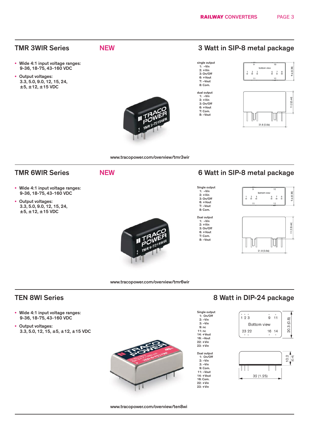- Wide 4:1 input voltage ranges: 9-36, 18-75, 43-160 VDC
- Output voltages: 3.3, 5.0, 9.0, 12, 15, 24, ±5, ±12, ±15 VDC

- 
- 
- 

## TMR 3WIR Series NEW NEW 3 Watt in SIP-8 metal package

single output 1: –Vin 2: +Vin 3: On/Off 6: +Vout 7: –Vout 8: Com. dual output 1: –Vin 2: +Vin 3: On/Off  $6: +Vout$ 7: Com. 8: –Vout

Single output 1: –Vin  $2: +$ Vin 3: On/Off  $6: +Vout$ 7: –Vout 8: Com. Dual output  $1: -V$ in 2: +Vin 3: On/Off 6: +Vout 7: Com. 8: –Vout



**Bookhoon** Library

 $21.8(0.86)$ 

 $\frac{6}{9}$  $\frac{7}{2}$  $\frac{8}{1}$ 

IIUI

 $\overline{1}$  $\frac{2}{\pi}$  $\frac{3}{2}$ 



### www.tracopower.com/overview/tmr3wir

### TMR 6WIR Series NEW NEW 6 Watt in SIP-8 metal package

- Wide 4:1 input voltage ranges: 9-36, 18-75, 43-160 VDC
- Output voltages: 3.3, 5.0, 9.0, 12, 15, 24, ±5, ±12, ±15 VDC





www.tracopower.com/overview/tmr6wir

- Wide 4:1 input voltage ranges: 9-36, 18-75, 43-160 VDC
- Output voltages: 3.3, 5.0, 12, 15, ±5, ±12, ±15 VDC

## TEN 8WI Series **8 Watt in DIP-24 package**



22: +Vin 23: +Vin



 $9.6(0.38)$ 

 $11.2(0.44)$ 



www.tracopower.com/overview/ten8wi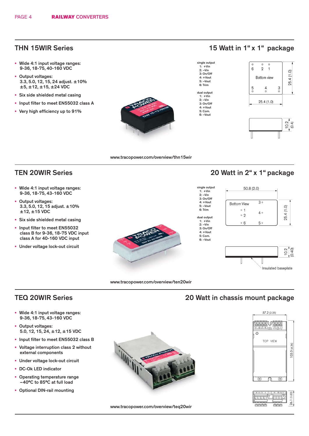- Wide 4:1 input voltage ranges: 9-36, 18-75, 40-160 VDC
- Output voltages: 3.3, 5.0, 12, 15, 24 adjust. ±10%  $±5, ±12, ±15, ±24$  VDC
- Six side shielded metal casing
- Input filter to meet EN55032 class A
- Very high efficiency up to 91%



### THN 15WIR Series 15 Watt in 1" x 1" package

single output 1: +Vin 2: –Vin 3: On/Off 4: +Vout 5: –Vout 6: Trim dual output 1: +Vin 2: –Vin 3: On/Off 4: +Vout 5: Com. 6: –Vout

single output 1: +Vin  $2: -V$ in  $3:$  On/Off 4: +Vout 5: –Vout 6: Trim dual output 1: +Vin  $2: -V$ in 3: On/Off 4: +Vout 5: Com. 6: –Vout





www.tracopower.com/overview/thn15wir

- Wide 4:1 input voltage ranges: 9-36, 18-75, 43-160 VDC
- Output voltages: 3.3, 5.0, 12, 15 adjust. ±10% ±12, ±15 VDC
- Six side shielded metal casing
- Input filter to meet EN55032 class B for 9-36, 18-75 VDC input class A for 40-160 VDC input
- Under voltage lock-out circuit



### TEN 20WIR Series 20 Watt in 2" x 1" package





www.tracopower.com/overview/ten20wir

### TEQ 20WIR Series **20 Watt in chassis mount package**

- Wide 4:1 input voltage ranges: 9-36, 18-75, 43-160 VDC
- Output voltages: 5.0, 12, 15, 24, ±12, ±15 VDC
- Input filter to meet EN55032 class B
- Voltage interruption class 2 without external components
- Under voltage lock-out circuit
- DC-Ok LED indicator
- Operating temperature range –40°C to 85°C at full load
- Optional DIN-rail mounting







www.tracopower.com/overview/teq20wir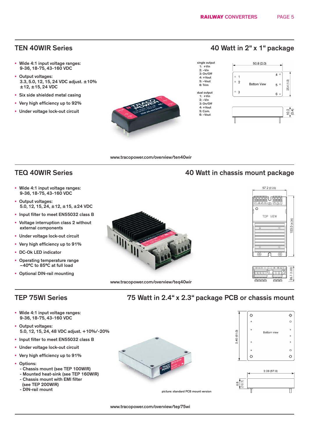- Wide 4:1 input voltage ranges: 9-36, 18-75, 43-160 VDC
- Output voltages: 3.3, 5.0, 12, 15, 24 VDC adjust. ±10% ±12, ±15, 24 VDC
- Six side shielded metal casing
- Very high efficiency up to 92%
- Under voltage lock-out circuit



### TEN 40WIR Series **1988** 2008 2009 40 Watt in 2" x 1" package



www.tracopower.com/overview/ten40wir

- Wide 4:1 input voltage ranges: 9-36, 18-75, 43-160 VDC
- Output voltages: 5.0, 12, 15, 24, ±12, ±15, ±24 VDC
- Input filter to meet EN55032 class B
- Voltage interruption class 2 without external components
- Under voltage lock-out circuit
- Very high efficiency up to 91%
- DC-Ok LED indicator
- Operating temperature range –40°C to 85°C at full load
- Optional DIN-rail mounting

- Wide 4:1 input voltage ranges: 9-36, 18-75, 43-160 VDC
- Output voltages: 5.0, 12, 15, 24, 48 VDC adjust. +10%/-20%
- Input filter to meet EN55032 class B
- Under voltage lock-out circuit
- Very high efficiency up to 91%
- Options:
	- Chassis mount (see TEP 100WIR)
	- Mounted heat-sink (see TEP 160WIR)
	- Chassis mount with EMI filter
	- (see TEP 200WIR)<br>- DIN-rail mount
	-





## TEQ 40WIR Series **All and Series** 40 Watt in chassis mount package



**LTITTI** 

77

26.1 (1.

### TEP 75WI Series 75 Watt in 2.4" x 2.3" package PCB or chassis mount





INNIN

نجنجح

picture: standard PCB mount version

Π

www.tracopower.com/overview/tep75wi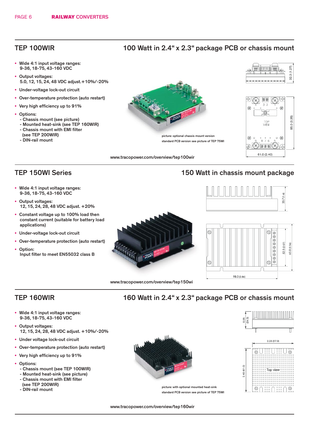- Wide 4:1 input voltage ranges: 9-36, 18-75, 43-160 VDC
- Output voltages: 5.0, 12, 15, 24, 48 VDC adjust.+10%/-20%
- Under-voltage lock-out circuit
- Over-temperature protection (auto restart)
- Very high efficiency up to 91%
- Options:
	- Chassis mount (see picture)
	- Mounted heat-sink (see TEP 160WIR)
	- Chassis mount with EMI filter (see TEP 200WIR)
	- DIN-rail mount

- Wide 4:1 input voltage ranges: 9-36, 18-75, 43-160 VDC
- Output voltages: 12, 15, 24, 28, 48 VDC adjust. +20%
- Constant voltage up to 100% load then constant current (suitable for battery load applications)
- Under-voltage lock-out circuit
- Over-temperature protection (auto restart)
- Option: Input filter to meet EN55032 class B



www.tracopower.com/overview/tep100wir

www.tracopower.com/overview/tep150wi





### TEP 150WI Series 150 Watt in chassis mount package





### TEP 160WIR

- Wide 4:1 input voltage ranges: 9-36, 18-75, 43-160 VDC
- Output voltages: 12, 15, 24, 28, 48 VDC adjust. +10%/-20%
- Under voltage lock-out circuit
- Over-temperature protection (auto restart)
- Very high efficiency up to 91%
- Options:
	- Chassis mount (see TEP 100WIR)
	- Mounted heat-sink (see picture)
	- Chassis mount with EMI filter
	- (see TEP 200WIR)
	- DIN-rail mount





picture: with optional mounted heat-sink standard PCB version see picture of TEP 75WI

160 Watt in 2.4" x 2.3" package PCB or chassis mount

www.tracopower.com/overview/tep160wir

### TEP 100WIR 100 Watt in 2.4" x 2.3" package PCB or chassis mount

picture: optional chassis mount version standard PCB version see picture of TEP 75WI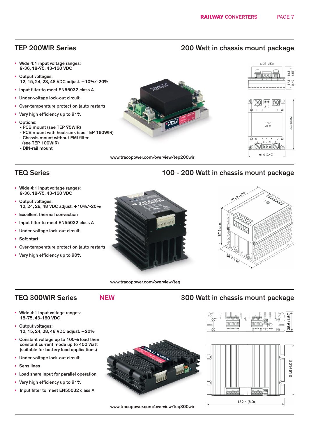- Wide 4:1 input voltage ranges: 9-36, 18-75, 43-160 VDC
- Output voltages: 12, 15, 24, 28, 48 VDC adjust. +10%/-20%
- Input filter to meet EN55032 class A
- Under-voltage lock-out circuit
- Over-temperature protection (auto restart)
- Very high efficiency up to 91%
- Options:
	- PCB mount (see TEP 75WIR)
	- PCB mount with heat-sink (see TEP 160WIR) - Chassis mount without EMI filter
	- (see TEP 100WIR)
	- DIN-rail mount



 $800$ W <del>500</del> 61.0 (2.40)

www.tracopower.com/overview/tep200wir

### TEQ Series 100 - 200 Watt in chassis mount package

- Wide 4:1 input voltage ranges: 9-36, 18-75, 43-160 VDC
- Output voltages: 12, 24, 28, 48 VDC adjust. +10%/-20%
- Excellent thermal convection
- Input filter to meet EN55032 class A
- Under-voltage lock-out circuit
- Soft start
- Over-temperature protection (auto restart)
- Very high efficiency up to 90%





www.tracopower.com/overview/teq

### • Wide 4:1 input voltage ranges: 18-75, 43-160 VDC

- Output voltages: 12, 15, 24, 28, 48 VDC adjust. +20%
- Constant voltage up to 100% load then constant current mode up to 400 Watt (suitable for battery load applications)
- Under-voltage lock-out circuit
- Sens lines
- Load share input for parallel operation
- Very high efficiency up to 91%
- Input filter to meet EN55032 class A



www.tracopower.com/overview/teq300wir

### TEQ 300WIR Series NEW 300 Watt in chassis mount package





### TEP 200WIR Series 200 Watt in chassis mount package